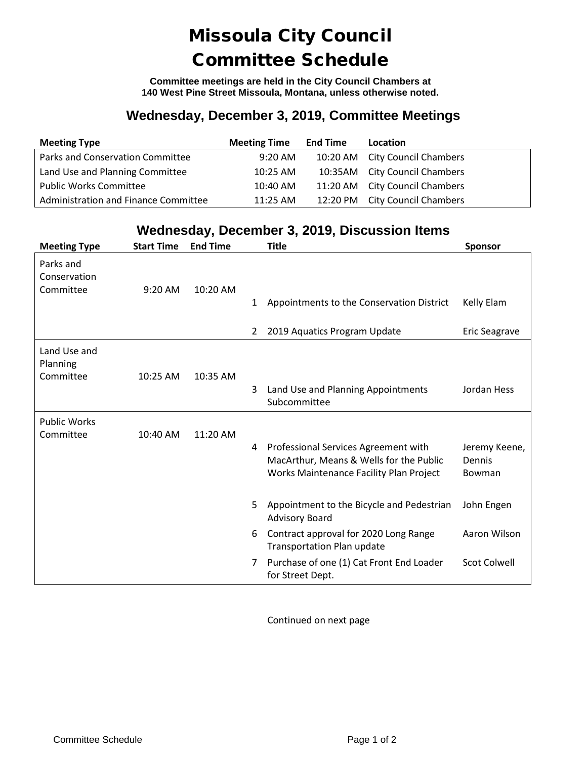## Missoula City Council Committee Schedule

**Committee meetings are held in the City Council Chambers at 140 West Pine Street Missoula, Montana, unless otherwise noted.**

## **Wednesday, December 3, 2019, Committee Meetings**

| <b>Meeting Type</b>                  | <b>Meeting Time</b> | <b>End Time</b> | Location                       |
|--------------------------------------|---------------------|-----------------|--------------------------------|
| Parks and Conservation Committee     | $9:20 \text{ AM}$   |                 | 10:20 AM City Council Chambers |
| Land Use and Planning Committee      | 10:25 AM            |                 | 10:35AM City Council Chambers  |
| <b>Public Works Committee</b>        | 10:40 AM            |                 | 11:20 AM City Council Chambers |
| Administration and Finance Committee | $11:25$ AM          |                 | 12:20 PM City Council Chambers |

## **Wednesday, December 3, 2019, Discussion Items**

| <b>Meeting Type</b>                    | <b>Start Time</b> | <b>End Time</b> |   | <b>Title</b>                                                                                                               | <b>Sponsor</b>                    |
|----------------------------------------|-------------------|-----------------|---|----------------------------------------------------------------------------------------------------------------------------|-----------------------------------|
| Parks and<br>Conservation<br>Committee | $9:20$ AM         | 10:20 AM        | 1 | Appointments to the Conservation District                                                                                  | Kelly Elam                        |
|                                        |                   |                 | 2 | 2019 Aquatics Program Update                                                                                               | <b>Eric Seagrave</b>              |
| Land Use and<br>Planning<br>Committee  | 10:25 AM          | 10:35 AM        | 3 | Land Use and Planning Appointments<br>Subcommittee                                                                         | Jordan Hess                       |
| <b>Public Works</b><br>Committee       | 10:40 AM          | 11:20 AM        | 4 | Professional Services Agreement with<br>MacArthur, Means & Wells for the Public<br>Works Maintenance Facility Plan Project | Jeremy Keene,<br>Dennis<br>Bowman |
|                                        |                   |                 | 5 | Appointment to the Bicycle and Pedestrian<br><b>Advisory Board</b>                                                         | John Engen                        |
|                                        |                   |                 | 6 | Contract approval for 2020 Long Range<br><b>Transportation Plan update</b>                                                 | Aaron Wilson                      |
|                                        |                   |                 | 7 | Purchase of one (1) Cat Front End Loader<br>for Street Dept.                                                               | <b>Scot Colwell</b>               |

Continued on next page